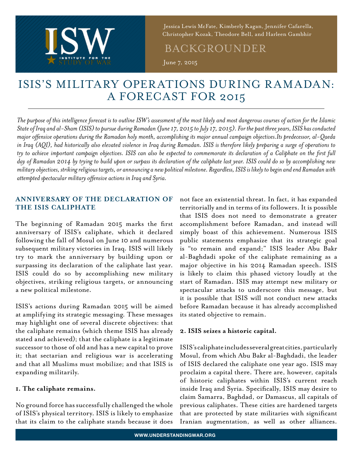

 Jessica Lewis McFate, Kimberly Kagan, Jennifer Cafarella, Christopher Kozak, Theodore Bell, and Harleen Gambhir

## BACKGROUNDER

June 7, 2015

# ISIS'S MILITARY OPERATIONS DURING RAMADAN: A FORECAST FOR 2015

*The purpose of this intelligence forecast is to outline ISW's assessment of the most likely and most dangerous courses of action for the Islamic State of Iraq and al-Sham (ISIS) to pursue during Ramadan (June 17, 2015 to July 17, 2015). For the past three years, ISIS has conducted major offensive operations during the Ramadan holy month, accomplishing its major annual campaign objectives.Its predecessor, al-Qaeda in Iraq (AQI), had historically also elevated violence in Iraq during Ramadan. ISIS is therefore likely preparing a surge of operations to try to achieve important campaign objectives. ISIS can also be expected to commemorate its declaration of a Caliphate on the first full day of Ramadan 2014 by trying to build upon or surpass its declaration of the caliphate last year. ISIS could do so by accomplishing new military objectives, striking religious targets, or announcing a new political milestone. Regardless, ISIS is likely to begin and end Ramadan with attempted spectacular military offensive actions in Iraq and Syria.*

## **ANNIVERSARY OF THE DECLARATION OF THE ISIS CALIPHATE**

The beginning of Ramadan 2015 marks the first anniversary of ISIS's caliphate, which it declared following the fall of Mosul on June 10 and numerous subsequent military victories in Iraq. ISIS will likely try to mark the anniversary by building upon or surpassing its declaration of the caliphate last year. ISIS could do so by accomplishing new military objectives, striking religious targets, or announcing a new political milestone.

ISIS's actions during Ramadan 2015 will be aimed at amplifying its strategic messaging. These messages may highlight one of several discrete objectives: that the caliphate remains (which theme ISIS has already stated and achieved); that the caliphate is a legitimate successor to those of old and has a new capital to prove it; that sectarian and religious war is accelerating and that all Muslims must mobilize; and that ISIS is expanding militarily.

## **1. The caliphate remains.**

No ground force has successfully challenged the whole of ISIS's physical territory. ISIS is likely to emphasize that its claim to the caliphate stands because it does

not face an existential threat. In fact, it has expanded territorially and in terms of its followers. It is possible that ISIS does not need to demonstrate a greater accomplishment before Ramadan, and instead will simply boast of this achievement. Numerous ISIS public statements emphasize that its strategic goal is "to remain and expand;" ISIS leader Abu Bakr al-Baghdadi spoke of the caliphate remaining as a major objective in his 2014 Ramadan speech. ISIS is likely to claim this phased victory loudly at the start of Ramadan. ISIS may attempt new military or spectacular attacks to underscore this message, but it is possible that ISIS will not conduct new attacks before Ramadan because it has already accomplished its stated objective to remain.

## **2. ISIS seizes a historic capital.**

ISIS's caliphate includes several great cities, particularly Mosul, from which Abu Bakr al-Baghdadi, the leader of ISIS declared the caliphate one year ago. ISIS may proclaim a capital there. There are, however, capitals of historic caliphates within ISIS's current reach inside Iraq and Syria. Specifically, ISIS may desire to claim Samarra, Baghdad, or Damascus, all capitals of previous caliphates. These cities are hardened targets that are protected by state militaries with significant Iranian augmentation, as well as other alliances.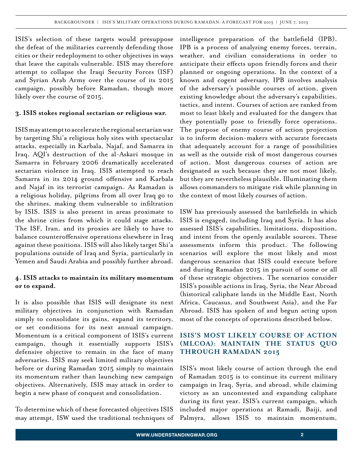ISIS's selection of these targets would presuppose the defeat of the militaries currently defending those cities or their redeployment to other objectives in ways that leave the capitals vulnerable. ISIS may therefore attempt to collapse the Iraqi Security Forces (ISF) and Syrian Arab Army over the course of its 2015 campaign, possibly before Ramadan, though more likely over the course of 2015.

#### **3. ISIS stokes regional sectarian or religious war.**

ISIS may attempt to accelerate the regional sectarian war by targeting Shi'a religious holy sites with spectacular attacks, especially in Karbala, Najaf, and Samarra in Iraq. AQI's destruction of the al-Askari mosque in Samarra in February 2006 dramatically accelerated sectarian violence in Iraq. ISIS attempted to reach Samarra in its 2014 ground offensive and Karbala and Najaf in its terrorist campaign. As Ramadan is a religious holiday, pilgrims from all over Iraq go to the shrines, making them vulnerable to infiltration by ISIS. ISIS is also present in areas proximate to the shrine cities from which it could stage attacks. The ISF, Iran, and its proxies are likely to have to balance counteroffensive operations elsewhere in Iraq against these positions. ISIS will also likely target Shi'a populations outside of Iraq and Syria, particularly in Yemen and Saudi Arabia and possibly further abroad.

#### **4. ISIS attacks to maintain its military momentum or to expand.**

It is also possible that ISIS will designate its next military objectives in conjunction with Ramadan simply to consolidate its gains, expand its territory, or set conditions for its next annual campaign. Momentum is a critical component of ISIS's current campaign, though it essentially supports ISIS's defensive objective to remain in the face of many adversaries. ISIS may seek limited military objectives before or during Ramadan 2015 simply to maintain its momentum rather than launching new campaign objectives. Alternatively, ISIS may attack in order to begin a new phase of conquest and consolidation.

To determine which of these forecasted objectives ISIS may attempt, ISW used the traditional techniques of intelligence preparation of the battlefield (IPB). IPB is a process of analyzing enemy forces, terrain, weather, and civilian considerations in order to anticipate their effects upon friendly forces and their planned or ongoing operations. In the context of a known and cogent adversary, IPB involves analysis of the adversary's possible courses of action, given existing knowledge about the adversary's capabilities, tactics, and intent. Courses of action are ranked from most to least likely and evaluated for the dangers that they potentially pose to friendly force operations. The purpose of enemy course of action projection is to inform decision-makers with accurate forecasts that adequately account for a range of possibilities as well as the outside risk of most dangerous courses of action. Most dangerous courses of action are designated as such because they are not most likely, but they are nevertheless plausible. Illuminating them allows commanders to mitigate risk while planning in the context of most likely courses of action.

ISW has previously assessed the battlefields in which ISIS is engaged, including Iraq and Syria. It has also assessed ISIS's capabilities, limitations, disposition, and intent from the openly available sources. These assessments inform this product. The following scenarios will explore the most likely and most dangerous scenarios that ISIS could execute before and during Ramadan 2015 in pursuit of some or all of these strategic objectives. The scenarios consider ISIS's possible actions in Iraq, Syria, the Near Abroad (historical caliphate lands in the Middle East, North Africa, Caucasus, and Southwest Asia), and the Far Abroad. ISIS has spoken of and begun acting upon most of the concepts of operations described below.

## **ISIS'S MOST LIKELY COURSE OF ACTION (MLCOA): MAINTAIN THE STATUS QUO THROUGH RAMADAN 2015**

ISIS's most likely course of action through the end of Ramadan 2015 is to continue its current military campaign in Iraq, Syria, and abroad, while claiming victory as an uncontested and expanding caliphate during its first year. ISIS's current campaign, which included major operations at Ramadi, Baiji, and Palmyra, allows ISIS to maintain momentum,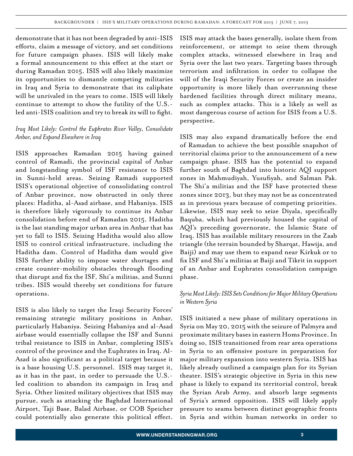demonstrate that it has not been degraded by anti-ISIS efforts, claim a message of victory, and set conditions for future campaign phases. ISIS will likely make a formal announcement to this effect at the start or during Ramadan 2015. ISIS will also likely maximize its opportunities to dismantle competing militaries in Iraq and Syria to demonstrate that its caliphate will be unrivaled in the years to come. ISIS will likely continue to attempt to show the futility of the U.S. led anti-ISIS coalition and try to break its will to fight.

#### *Iraq Most Likely: Control the Euphrates River Valley, Consolidate Anbar, and Expand Elsewhere in Iraq*

ISIS approaches Ramadan 2015 having gained control of Ramadi, the provincial capital of Anbar and longstanding symbol of ISF resistance to ISIS in Sunni-held areas. Seizing Ramadi supported ISIS's operational objective of consolidating control of Anbar province, now obstructed in only three places: Haditha, al-Asad airbase, and Habaniya. ISIS is therefore likely vigorously to continue its Anbar consolidation before end of Ramadan 2015. Haditha is the last standing major urban area in Anbar that has yet to fall to ISIS. Seizing Haditha would also allow ISIS to control critical infrastructure, including the Haditha dam. Control of Haditha dam would give ISIS further ability to impose water shortages and create counter-mobility obstacles through flooding that disrupt and fix the ISF, Shi'a militias, and Sunni tribes. ISIS would thereby set conditions for future operations.

ISIS is also likely to target the Iraqi Security Forces' remaining strategic military positions in Anbar, particularly Habaniya. Seizing Habaniya and al-Asad airbase would essentially collapse the ISF and Sunni tribal resistance to ISIS in Anbar, completing ISIS's control of the province and the Euphrates in Iraq. Al-Asad is also significant as a political target because it is a base housing U.S. personnel. ISIS may target it, as it has in the past, in order to persuade the U.S. led coalition to abandon its campaign in Iraq and Syria. Other limited military objectives that ISIS may pursue, such as attacking the Baghdad International Airport, Taji Base, Balad Airbase, or COB Speicher could potentially also generate this political effect.

ISIS may attack the bases generally, isolate them from reinforcement, or attempt to seize them through complex attacks, witnessed elsewhere in Iraq and Syria over the last two years. Targeting bases through terrorism and infiltration in order to collapse the will of the Iraqi Security Forces or create an insider opportunity is more likely than overrunning these hardened facilities through direct military means, such as complex attacks. This is a likely as well as most dangerous course of action for ISIS from a U.S. perspective.

ISIS may also expand dramatically before the end of Ramadan to achieve the best possible snapshot of territorial claims prior to the announcement of a new campaign phase. ISIS has the potential to expand further south of Baghdad into historic AQI support zones in Mahmudiyah, Yusufiyah, and Salman Pak. The Shi'a militias and the ISF have protected these zones since 2013, but they may not be as concentrated as in previous years because of competing priorities. Likewise, ISIS may seek to seize Diyala, specifically Baquba, which had previously housed the capital of AQI's preceding governorate, the Islamic State of Iraq. ISIS has available military resources in the Zaab triangle (the terrain bounded by Sharqat, Hawija, and Baiji) and may use them to expand near Kirkuk or to fix ISF and Shi'a militias at Baiji and Tikrit in support of an Anbar and Euphrates consolidation campaign phase.

#### *Syria Most Likely: ISIS Sets Conditions for Major Military Operations in Western Syria*

ISIS initiated a new phase of military operations in Syria on May 20, 2015 with the seizure of Palmyra and proximate military bases in eastern Homs Province. In doing so, ISIS transitioned from rear area operations in Syria to an offensive posture in preparation for major military expansion into western Syria. ISIS has likely already outlined a campaign plan for its Syrian theater. ISIS's strategic objective in Syria in this new phase is likely to expand its territorial control, break the Syrian Arab Army, and absorb large segments of Syria's armed opposition. ISIS will likely apply pressure to seams between distinct geographic fronts in Syria and within human networks in order to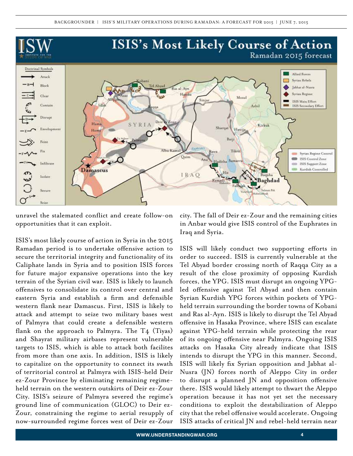

unravel the stalemated conflict and create follow-on opportunities that it can exploit.

ISIS's most likely course of action in Syria in the 2015 Ramadan period is to undertake offensive action to secure the territorial integrity and functionality of its Caliphate lands in Syria and to position ISIS forces for future major expansive operations into the key terrain of the Syrian civil war. ISIS is likely to launch offensives to consolidate its control over central and eastern Syria and establish a firm and defensible western flank near Damascus. First, ISIS is likely to attack and attempt to seize two military bases west of Palmyra that could create a defensible western flank on the approach to Palmyra. The  $T_4$  (Tiyas) and Shayrat military airbases represent vulnerable targets to ISIS, which is able to attack both facilites from more than one axis. In addition, ISIS is likely to capitalize on the opportunity to connect its swath of territorial control at Palmyra with ISIS-held Deir ez-Zour Province by eliminating remaining regimeheld terrain on the western outskirts of Deir ez-Zour City. ISIS's seizure of Palmyra severed the regime's ground line of communication (GLOC) to Deir ez-Zour, constraining the regime to aerial resupply of now-surrounded regime forces west of Deir ez-Zour

city. The fall of Deir ez-Zour and the remaining cities in Anbar would give ISIS control of the Euphrates in Iraq and Syria.

ISIS will likely conduct two supporting efforts in order to succeed. ISIS is currently vulnerable at the Tel Abyad border crossing north of Raqqa City as a result of the close proximity of opposing Kurdish forces, the YPG. ISIS must disrupt an ongoing YPGled offensive against Tel Abyad and then contain Syrian Kurdish YPG forces within pockets of YPGheld terrain surrounding the border towns of Kobani and Ras al-Ayn. ISIS is likely to disrupt the Tel Abyad offensive in Hasaka Province, where ISIS can escalate against YPG-held terrain while protecting the rear of its ongoing offensive near Palmyra. Ongoing ISIS attacks on Hasaka City already indicate that ISIS intends to disrupt the YPG in this manner. Second, ISIS will likely fix Syrian opposition and Jabhat al-Nusra (JN) forces north of Aleppo City in order to disrupt a planned JN and opposition offensive there. ISIS would likely attempt to thwart the Aleppo operation because it has not yet set the necessary conditions to exploit the destabilization of Aleppo city that the rebel offensive would accelerate. Ongoing ISIS attacks of critical JN and rebel-held terrain near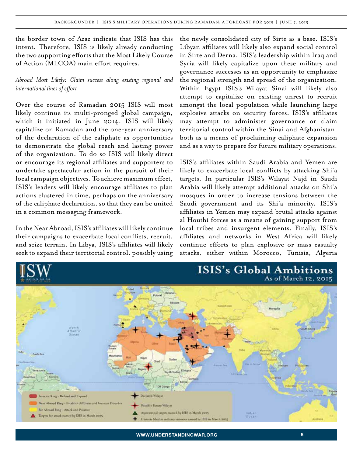the border town of Azaz indicate that ISIS has this intent. Therefore, ISIS is likely already conducting the two supporting efforts that the Most Likely Course of Action (MLCOA) main effort requires.

#### *Abroad Most Likely: Claim success along existing regional and international lines of effort*

Over the course of Ramadan 2015 ISIS will most likely continue its multi-pronged global campaign, which it initiated in June 2014. ISIS will likely capitalize on Ramadan and the one-year anniversary of the declaration of the caliphate as opportunities to demonstrate the global reach and lasting power of the organization. To do so ISIS will likely direct or encourage its regional affiliates and supporters to undertake spectacular action in the pursuit of their local campaign objectives. To achieve maximum effect, ISIS's leaders will likely encourage affiliates to plan actions clustered in time, perhaps on the anniversary of the caliphate declaration, so that they can be united in a common messaging framework.

In the Near Abroad, ISIS's affiliates will likely continue their campaigns to exacerbate local conflicts, recruit, and seize terrain. In Libya, ISIS's affiliates will likely seek to expand their territorial control, possibly using

the newly consolidated city of Sirte as a base. ISIS's Libyan affiliates will likely also expand social control in Sirte and Derna. ISIS's leadership within Iraq and Syria will likely capitalize upon these military and governance successes as an opportunity to emphasize the regional strength and spread of the organization. Within Egypt ISIS's Wilayat Sinai will likely also attempt to capitalize on existing unrest to recruit amongst the local population while launching large explosive attacks on security forces. ISIS's affiliates may attempt to administer governance or claim territorial control within the Sinai and Afghanistan, both as a means of proclaiming caliphate expansion and as a way to prepare for future military operations.

ISIS's affiliates within Saudi Arabia and Yemen are likely to exacerbate local conflicts by attacking Shi'a targets. In particular ISIS's Wilayat Najd in Saudi Arabia will likely attempt additional attacks on Shi'a mosques in order to increase tensions between the Saudi government and its Shi'a minority. ISIS's affiliates in Yemen may expand brutal attacks against al Houthi forces as a means of gaining support from local tribes and insurgent elements. Finally, ISIS's affiliates and networks in West Africa will likely continue efforts to plan explosive or mass casualty attacks, either within Morocco, Tunisia, Algeria

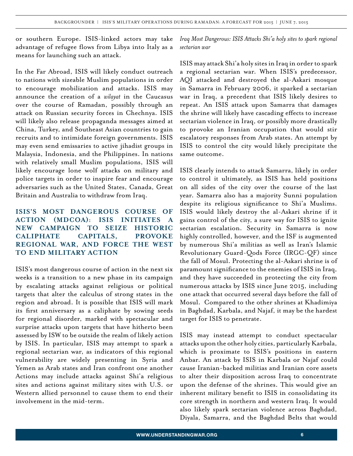or southern Europe. ISIS-linked actors may take advantage of refugee flows from Libya into Italy as a means for launching such an attack.

In the Far Abroad, ISIS will likely conduct outreach to nations with sizeable Muslim populations in order to encourage mobilization and attacks. ISIS may announce the creation of a *wilayat* in the Caucasus over the course of Ramadan, possibly through an attack on Russian security forces in Chechnya. ISIS will likely also release propaganda messages aimed at China, Turkey, and Southeast Asian countries to gain recruits and to intimidate foreign governments. ISIS may even send emissaries to active jihadist groups in Malaysia, Indonesia, and the Philippines. In nations with relatively small Muslim populations, ISIS will likely encourage lone wolf attacks on military and police targets in order to inspire fear and encourage adversaries such as the United States, Canada, Great Britain and Australia to withdraw from Iraq.

## **ISIS'S MOST DANGEROUS COURSE OF ACTION (MDCOA): ISIS INITIATES NEW CAMPAIGN TO SEIZE HISTORIC CALIPHATE CAPITALS, PROVOKE REGIONAL WAR, AND FORCE THE WEST TO END MILITARY ACTION**

ISIS's most dangerous course of action in the next six weeks is a transition to a new phase in its campaign by escalating attacks against religious or political targets that alter the calculus of strong states in the region and abroad. It is possible that ISIS will mark its first anniversary as a caliphate by sowing seeds for regional disorder, marked with spectacular and surprise attacks upon targets that have hitherto been assessed by ISW to be outside the realm of likely action by ISIS. In particular, ISIS may attempt to spark a regional sectarian war, as indicators of this regional vulnerability are widely presenting in Syria and Yemen as Arab states and Iran confront one another Actions may include attacks against Shi'a religious sites and actions against military sites with U.S. or Western allied personnel to cause them to end their involvement in the mid-term.

*Iraq Most Dangerous: ISIS Attacks Shi'a holy sites to spark regional sectarian war*

ISIS may attack Shi'a holy sites in Iraq in order to spark a regional sectarian war. When ISIS's predecessor, AQI attacked and destroyed the al-Askari mosque in Samarra in February 2006, it sparked a sectarian war in Iraq, a precedent that ISIS likely desires to repeat. An ISIS attack upon Samarra that damages the shrine will likely have cascading effects to increase sectarian violence in Iraq, or possibly more drastically to provoke an Iranian occupation that would stir escalatory responses from Arab states. An attempt by ISIS to control the city would likely precipitate the same outcome.

ISIS clearly intends to attack Samarra, likely in order to control it ultimately, as ISIS has held positions on all sides of the city over the course of the last year. Samarra also has a majority Sunni population despite its religious significance to Shi'a Muslims. ISIS would likely destroy the al-Askari shrine if it gains control of the city, a sure way for ISIS to ignite sectarian escalation. Security in Samarra is now highly controlled, however, and the ISF is augmented by numerous Shi'a militias as well as Iran's Islamic Revolutionary Guard-Qods Force (IRGC-QF) since the fall of Mosul. Protecting the al-Askari shrine is of paramount significance to the enemies of ISIS in Iraq, and they have succeeded in protecting the city from numerous attacks by ISIS since June 2015, including one attack that occurred several days before the fall of Mosul. Compared to the other shrines at Khadimiya in Baghdad, Karbala, and Najaf, it may be the hardest target for ISIS to penetrate.

ISIS may instead attempt to conduct spectacular attacks upon the other holy cities, particularly Karbala, which is proximate to ISIS's positions in eastern Anbar. An attack by ISIS in Karbala or Najaf could cause Iranian-backed militias and Iranian core assets to alter their disposition across Iraq to concentrate upon the defense of the shrines. This would give an inherent military benefit to ISIS in consolidating its core strength in northern and western Iraq. It would also likely spark sectarian violence across Baghdad, Diyala, Samarra, and the Baghdad Belts that would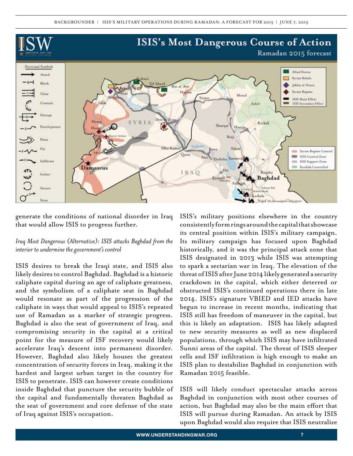

generate the conditions of national disorder in Iraq that would allow ISIS to progress further.

#### *Iraq Most Dangerous (Alternative): ISIS attacks Baghdad from the interior to undermine the government's control*

ISIS desires to break the Iraqi state, and ISIS also likely desires to control Baghdad. Baghdad is a historic caliphate capital during an age of caliphate greatness, and the symbolism of a caliphate seat in Baghdad would resonate as part of the progression of the caliphate in ways that would appeal to ISIS's repeated use of Ramadan as a marker of strategic progress. Baghdad is also the seat of government of Iraq, and compromising security in the capital at a critical point for the measure of ISF recovery would likely accelerate Iraq's descent into permanent disorder. However, Baghdad also likely houses the greatest concentration of security forces in Iraq, making it the hardest and largest urban target in the country for ISIS to penetrate. ISIS can however create conditions inside Baghdad that puncture the security bubble of the capital and fundamentally threaten Baghdad as the seat of government and core defense of the state of Iraq against ISIS's occupation.

ISIS's military positions elsewhere in the country consistently form rings around the capital that showcase its central position within ISIS's military campaign. Its military campaign has focused upon Baghdad historically, and it was the principal attack zone that ISIS designated in 2013 while ISIS was attempting to spark a sectarian war in Iraq. The elevation of the threat of ISIS after June 2014 likely generated a security crackdown in the capital, which either deterred or obstructed ISIS's continued operations there in late 2014. ISIS's signature VBIED and IED attacks have begun to increase in recent months, indicating that ISIS still has freedom of maneuver in the capital, but this is likely an adaptation. ISIS has likely adapted to new security measures as well as new displaced populations, through which ISIS may have infiltrated Sunni areas of the capital. The threat of ISIS sleeper cells and ISF infiltration is high enough to make an ISIS plan to destabilize Baghdad in conjunction with Ramadan 2015 feasible.

ISIS will likely conduct spectacular attacks across Baghdad in conjunction with most other courses of action, but Baghdad may also be the main effort that ISIS will pursue during Ramadan. An attack by ISIS upon Baghdad would also require that ISIS neutralize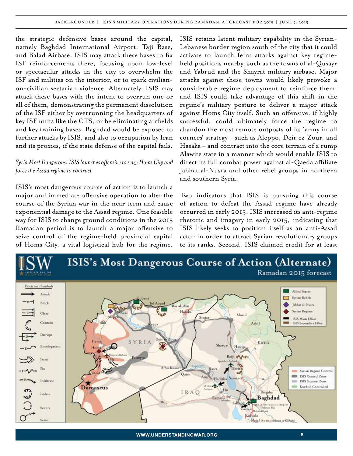the strategic defensive bases around the capital, namely Baghdad International Airport, Taji Base, and Balad Airbase. ISIS may attack these bases to fix ISF reinforcements there, focusing upon low-level or spectacular attacks in the city to overwhelm the ISF and militias on the interior, or to spark civilianon-civilian sectarian violence. Alternately, ISIS may attack these bases with the intent to overrun one or all of them, demonstrating the permanent dissolution of the ISF either by overrunning the headquarters of key ISF units like the CTS, or be eliminating airfields and key training bases. Baghdad would be exposed to further attacks by ISIS, and also to occupation by Iran and its proxies, if the state defense of the capital fails.

#### *Syria Most Dangerous: ISIS launches offensive to seize Homs City and force the Assad regime to contract*

ISIS's most dangerous course of action is to launch a major and immediate offensive operation to alter the course of the Syrian war in the near term and cause exponential damage to the Assad regime. One feasible way for ISIS to change ground conditions in the 2015 Ramadan period is to launch a major offensive to seize control of the regime-held provincial capital of Homs City, a vital logistical hub for the regime.

ISIS retains latent military capability in the Syrian-Lebanese border region south of the city that it could activate to launch feint attacks against key regimeheld positions nearby, such as the towns of al-Qusayr and Yabrud and the Shayrat military airbase. Major attacks against these towns would likely provoke a considerable regime deployment to reinforce them, and ISIS could take advantage of this shift in the regime's military posture to deliver a major attack against Homs City itself. Such an offensive, if highly successful, could ultimately force the regime to abandon the most remote outposts of its 'army in all corners' strategy – such as Aleppo, Deir ez-Zour, and Hasaka – and contract into the core terrain of a rump Alawite state in a manner which would enable ISIS to direct its full combat power against al-Qaeda affiliate Jabhat al-Nusra and other rebel groups in northern and southern Syria.

Two indicators that ISIS is pursuing this course of action to defeat the Assad regime have already occurred in early 2015. ISIS increased its anti-regime rhetoric and imagery in early 2015, indicating that ISIS likely seeks to position itself as an anti-Assad actor in order to attract Syrian revolutionary groups to its ranks. Second, ISIS claimed credit for at least

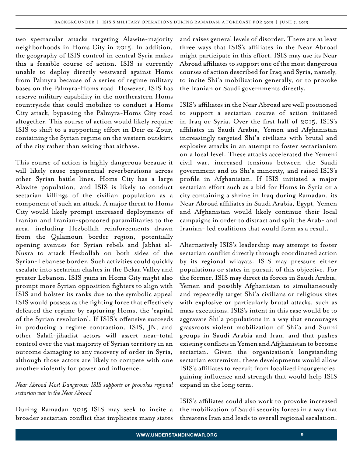two spectacular attacks targeting Alawite-majority neighborhoods in Homs City in 2015. In addition, the geography of ISIS control in central Syria makes this a feasible course of action. ISIS is currently unable to deploy directly westward against Homs from Palmyra because of a series of regime military bases on the Palmyra-Homs road. However, ISIS has reserve military capability in the northeastern Homs countryside that could mobilize to conduct a Homs City attack, bypassing the Palmyra-Homs City road altogether. This course of action would likely require ISIS to shift to a supporting effort in Deir ez-Zour, containing the Syrian regime on the western outskirts of the city rather than seizing that airbase.

This course of action is highly dangerous because it will likely cause exponential reverberations across other Syrian battle lines. Homs City has a large Alawite population, and ISIS is likely to conduct sectarian killings of the civilian population as a component of such an attack. A major threat to Homs City would likely prompt increased deployments of Iranian and Iranian-sponsored paramilitaries to the area, including Hezbollah reinforcements drawn from the Qalamoun border region, potentially opening avenues for Syrian rebels and Jabhat al-Nusra to attack Hezbollah on both sides of the Syrian-Lebanese border. Such activities could quickly escalate into sectarian clashes in the Bekaa Valley and greater Lebanon. ISIS gains in Homs City might also prompt more Syrian opposition fighters to align with ISIS and bolster its ranks due to the symbolic appeal ISIS would possess as the fighting force that effectively defeated the regime by capturing Homs, the 'capital of the Syrian revolution'. If ISIS's offensive succeeds in producing a regime contraction, ISIS, JN, and other Salafi-jihadist actors will assert near-total control over the vast majority of Syrian territory in an outcome damaging to any recovery of order in Syria, although those actors are likely to compete with one another violently for power and influence.

#### *Near Abroad Most Dangerous: ISIS supports or provokes regional sectarian war in the Near Abroad*

During Ramadan 2015 ISIS may seek to incite a broader sectarian conflict that implicates many states and raises general levels of disorder. There are at least three ways that ISIS's affiliates in the Near Abroad might participate in this effort. ISIS may use its Near Abroad affiliates to support one of the most dangerous courses of action described for Iraq and Syria, namely, to incite Shi'a mobilization generally, or to provoke the Iranian or Saudi governments directly.

ISIS's affiliates in the Near Abroad are well positioned to support a sectarian course of action initiated in Iraq or Syria. Over the first half of 2015, ISIS's affiliates in Saudi Arabia, Yemen and Afghanistan increasingly targeted Shi'a civilians with brutal and explosive attacks in an attempt to foster sectarianism on a local level. These attacks accelerated the Yemeni civil war, increased tensions between the Saudi government and its Shi'a minority, and raised ISIS's profile in Afghanistan. If ISIS initiated a major sectarian effort such as a bid for Homs in Syria or a city containing a shrine in Iraq during Ramadan, its Near Abroad affiliates in Saudi Arabia, Egypt, Yemen and Afghanistan would likely continue their local campaigns in order to distract and split the Arab- and Iranian- led coalitions that would form as a result.

Alternatively ISIS's leadership may attempt to foster sectarian conflict directly through coordinated action by its regional wilayats. ISIS may pressure either populations or states in pursuit of this objective. For the former, ISIS may direct its forces in Saudi Arabia, Yemen and possibly Afghanistan to simultaneously and repeatedly target Shi'a civilians or religious sites with explosive or particularly brutal attacks, such as mass executions. ISIS's intent in this case would be to aggravate Shi'a populations in a way that encourages grassroots violent mobilization of Shi'a and Sunni groups in Saudi Arabia and Iran, and that pushes existing conflicts in Yemen and Afghanistan to become sectarian. Given the organization's longstanding sectarian extremism, these developments would allow ISIS's affiliates to recruit from localized insurgencies, gaining influence and strength that would help ISIS expand in the long term.

ISIS's affiliates could also work to provoke increased the mobilization of Saudi security forces in a way that threatens Iran and leads to overall regional escalation.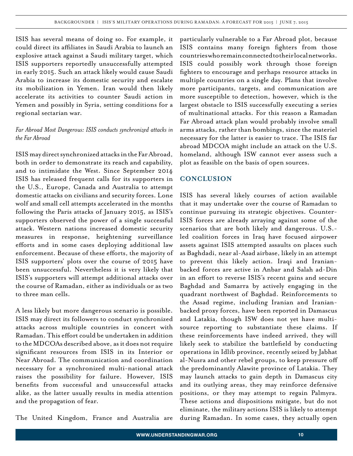ISIS has several means of doing so. For example, it could direct its affiliates in Saudi Arabia to launch an explosive attack against a Saudi military target, which ISIS supporters reportedly unsuccessfully attempted in early 2015. Such an attack likely would cause Saudi Arabia to increase its domestic security and escalate its mobilization in Yemen. Iran would then likely accelerate its activities to counter Saudi action in Yemen and possibly in Syria, setting conditions for a regional sectarian war.

#### *Far Abroad Most Dangerous: ISIS conducts synchronized attacks in the Far Abroad*

ISIS may direct synchronized attacks in the Far Abroad, both in order to demonstrate its reach and capability, and to intimidate the West. Since September 2014 ISIS has released frequent calls for its supporters in the U.S., Europe, Canada and Australia to attempt domestic attacks on civilians and security forces. Lone wolf and small cell attempts accelerated in the months following the Paris attacks of January 2015, as ISIS's supporters observed the power of a single successful attack. Western nations increased domestic security measures in response, heightening surveillance efforts and in some cases deploying additional law enforcement. Because of these efforts, the majority of ISIS supporters' plots over the course of 2015 have been unsuccessful. Nevertheless it is very likely that ISIS's supporters will attempt additional attacks over the course of Ramadan, either as individuals or as two to three man cells.

A less likely but more dangerous scenario is possible. ISIS may direct its followers to conduct synchronized attacks across multiple countries in concert with Ramadan. This effort could be undertaken in addition to the MDCOAs described above, as it does not require significant resources from ISIS in its Interior or Near Abroad. The communication and coordination necessary for a synchronized multi-national attack raises the possibility for failure. However, ISIS benefits from successful and unsuccessful attacks alike, as the latter usually results in media attention and the propagation of fear.

The United Kingdom, France and Australia are

particularly vulnerable to a Far Abroad plot, because ISIS contains many foreign fighters from those countries who remain connected to their local networks. ISIS could possibly work through those foreign fighters to encourage and perhaps resource attacks in multiple countries on a single day. Plans that involve more participants, targets, and communication are more susceptible to detection, however, which is the largest obstacle to ISIS successfully executing a series of multinational attacks. For this reason a Ramadan Far Abroad attack plan would probably involve small arms attacks, rather than bombings, since the materiel necessary for the latter is easier to trace. The ISIS far abroad MDCOA might include an attack on the U.S. homeland, although ISW cannot ever assess such a plot as feasible on the basis of open sources.

#### **CONCLUSION**

ISIS has several likely courses of action available that it may undertake over the course of Ramadan to continue pursuing its strategic objectives. Counter-ISIS forces are already arraying against some of the scenarios that are both likely and dangerous. U.S. led coalition forces in Iraq have focused airpower assets against ISIS attempted assaults on places such as Baghdadi, near al-Asad airbase, likely in an attempt to prevent this likely action. Iraqi and Iranianbacked forces are active in Anbar and Salah ad-Din in an effort to reverse ISIS's recent gains and secure Baghdad and Samarra by actively engaging in the quadrant northwest of Baghdad. Reinforcements to the Assad regime, including Iranian and Iranianbacked proxy forces, have been reported in Damascus and Latakia, though ISW does not yet have multisource reporting to substantiate these claims. If these reinforcements have indeed arrived, they will likely seek to stabilize the battlefield by conducting operations in Idlib province, recently seized by Jabhat al-Nusra and other rebel groups, to keep pressure off the predominantly Alawite province of Latakia. They may launch attacks to gain depth in Damascus city and its outlying areas, they may reinforce defensive positions, or they may attempt to regain Palmyra. These actions and dispositions mitigate, but do not eliminate, the military actions ISIS is likely to attempt during Ramadan. In some cases, they actually open